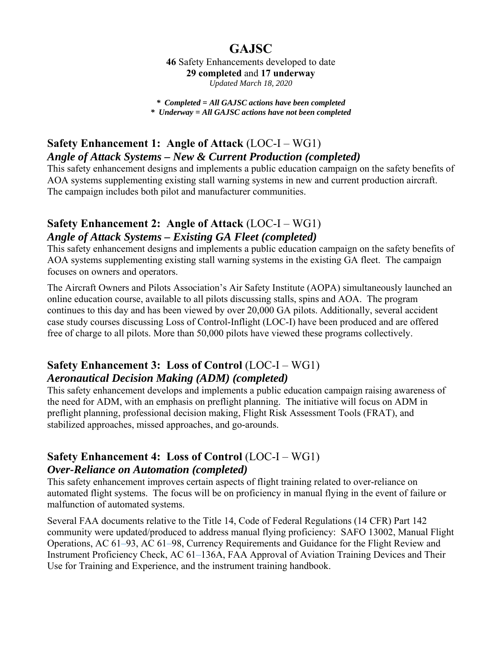# **GAJSC**

**46** Safety Enhancements developed to date **29 completed** and **17 underway** *Updated March 18, 2020* 

*\* Completed = All GAJSC actions have been completed \* Underway = All GAJSC actions have not been completed*

# **Safety Enhancement 1: Angle of Attack** (LOC-I – WG1) *Angle of Attack Systems – New & Current Production (completed)*

This safety enhancement designs and implements a public education campaign on the safety benefits of AOA systems supplementing existing stall warning systems in new and current production aircraft. The campaign includes both pilot and manufacturer communities.

### **Safety Enhancement 2: Angle of Attack** (LOC-I – WG1) *Angle of Attack Systems – Existing GA Fleet (completed)*

This safety enhancement designs and implements a public education campaign on the safety benefits of AOA systems supplementing existing stall warning systems in the existing GA fleet. The campaign focuses on owners and operators.

The Aircraft Owners and Pilots Association's Air Safety Institute (AOPA) simultaneously launched an online education course, available to all pilots discussing stalls, spins and AOA. The program continues to this day and has been viewed by over 20,000 GA pilots. Additionally, several accident case study courses discussing Loss of Control-Inflight (LOC-I) have been produced and are offered free of charge to all pilots. More than 50,000 pilots have viewed these programs collectively.

### **Safety Enhancement 3: Loss of Control** (LOC-I – WG1) *Aeronautical Decision Making (ADM) (completed)*

This safety enhancement develops and implements a public education campaign raising awareness of the need for ADM, with an emphasis on preflight planning. The initiative will focus on ADM in preflight planning, professional decision making, Flight Risk Assessment Tools (FRAT), and stabilized approaches, missed approaches, and go-arounds.

### Safety Enhancement 4: Loss of Control (LOC-I – WG1) *Over-Reliance on Automation (completed)*

This safety enhancement improves certain aspects of flight training related to over-reliance on automated flight systems. The focus will be on proficiency in manual flying in the event of failure or malfunction of automated systems.

Several FAA documents relative to the Title 14, Code of Federal Regulations (14 CFR) Part 142 community were updated/produced to address manual flying proficiency: SAFO 13002, Manual Flight Operations, AC 61–93, AC 61–98, Currency Requirements and Guidance for the Flight Review and Instrument Proficiency Check, AC 61–136A, FAA Approval of Aviation Training Devices and Their Use for Training and Experience, and the instrument training handbook.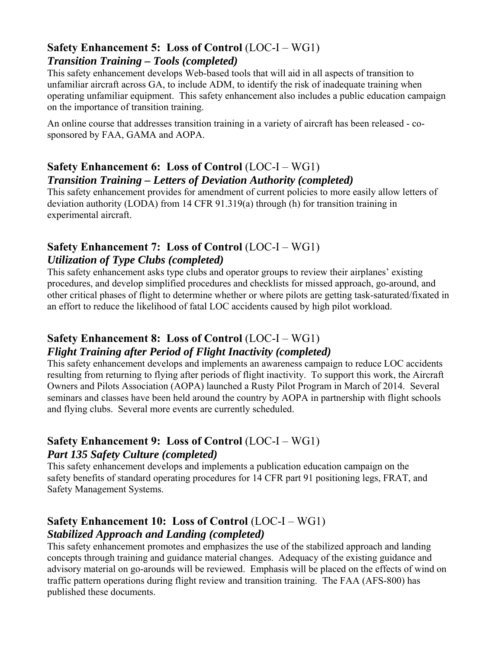#### **Safety Enhancement 5: Loss of Control** (LOC-I – WG1) *Transition Training – Tools (completed)*

This safety enhancement develops Web-based tools that will aid in all aspects of transition to unfamiliar aircraft across GA, to include ADM, to identify the risk of inadequate training when operating unfamiliar equipment. This safety enhancement also includes a public education campaign on the importance of transition training.

An online course that addresses transition training in a variety of aircraft has been released - cosponsored by FAA, GAMA and AOPA.

### **Safety Enhancement 6: Loss of Control** (LOC-I – WG1) *Transition Training – Letters of Deviation Authority (completed)*

This safety enhancement provides for amendment of current policies to more easily allow letters of deviation authority (LODA) from 14 CFR 91.319(a) through (h) for transition training in experimental aircraft.

### **Safety Enhancement 7: Loss of Control** (LOC-I – WG1) *Utilization of Type Clubs (completed)*

This safety enhancement asks type clubs and operator groups to review their airplanes' existing procedures, and develop simplified procedures and checklists for missed approach, go-around, and other critical phases of flight to determine whether or where pilots are getting task-saturated/fixated in an effort to reduce the likelihood of fatal LOC accidents caused by high pilot workload.

### **Safety Enhancement 8: Loss of Control** (LOC-I – WG1) *Flight Training after Period of Flight Inactivity (completed)*

This safety enhancement develops and implements an awareness campaign to reduce LOC accidents resulting from returning to flying after periods of flight inactivity. To support this work, the Aircraft Owners and Pilots Association (AOPA) launched a Rusty Pilot Program in March of 2014. Several seminars and classes have been held around the country by AOPA in partnership with flight schools and flying clubs. Several more events are currently scheduled.

# **Safety Enhancement 9: Loss of Control** (LOC-I – WG1) *Part 135 Safety Culture (completed)*

This safety enhancement develops and implements a publication education campaign on the safety benefits of standard operating procedures for 14 CFR part 91 positioning legs, FRAT, and Safety Management Systems.

### **Safety Enhancement 10: Loss of Control** (LOC-I – WG1) *Stabilized Approach and Landing (completed)*

This safety enhancement promotes and emphasizes the use of the stabilized approach and landing concepts through training and guidance material changes. Adequacy of the existing guidance and advisory material on go-arounds will be reviewed. Emphasis will be placed on the effects of wind on traffic pattern operations during flight review and transition training. The FAA (AFS-800) has published these documents.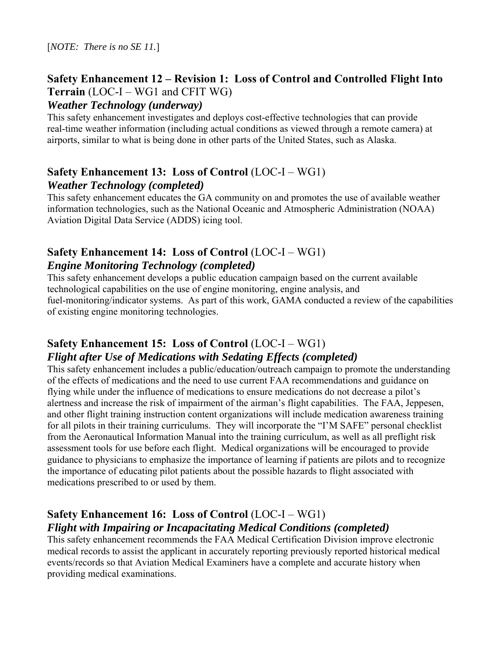### **Safety Enhancement 12 – Revision 1: Loss of Control and Controlled Flight Into Terrain** (LOC-I – WG1 and CFIT WG)

#### *Weather Technology (underway)*

This safety enhancement investigates and deploys cost-effective technologies that can provide real-time weather information (including actual conditions as viewed through a remote camera) at airports, similar to what is being done in other parts of the United States, such as Alaska.

### **Safety Enhancement 13: Loss of Control** (LOC-I – WG1) *Weather Technology (completed)*

This safety enhancement educates the GA community on and promotes the use of available weather information technologies, such as the National Oceanic and Atmospheric Administration (NOAA) Aviation Digital Data Service (ADDS) icing tool.

### **Safety Enhancement 14: Loss of Control** (LOC-I – WG1) *Engine Monitoring Technology (completed)*

This safety enhancement develops a public education campaign based on the current available technological capabilities on the use of engine monitoring, engine analysis, and fuel-monitoring/indicator systems. As part of this work, GAMA conducted a review of the capabilities of existing engine monitoring technologies.

#### **Safety Enhancement 15: Loss of Control** (LOC-I – WG1) *Flight after Use of Medications with Sedating Effects (completed)*

This safety enhancement includes a public/education/outreach campaign to promote the understanding of the effects of medications and the need to use current FAA recommendations and guidance on flying while under the influence of medications to ensure medications do not decrease a pilot's alertness and increase the risk of impairment of the airman's flight capabilities. The FAA, Jeppesen, and other flight training instruction content organizations will include medication awareness training for all pilots in their training curriculums. They will incorporate the "I'M SAFE" personal checklist from the Aeronautical Information Manual into the training curriculum, as well as all preflight risk assessment tools for use before each flight. Medical organizations will be encouraged to provide guidance to physicians to emphasize the importance of learning if patients are pilots and to recognize the importance of educating pilot patients about the possible hazards to flight associated with medications prescribed to or used by them.

### **Safety Enhancement 16: Loss of Control** (LOC-I – WG1) *Flight with Impairing or Incapacitating Medical Conditions (completed)*

This safety enhancement recommends the FAA Medical Certification Division improve electronic medical records to assist the applicant in accurately reporting previously reported historical medical events/records so that Aviation Medical Examiners have a complete and accurate history when providing medical examinations.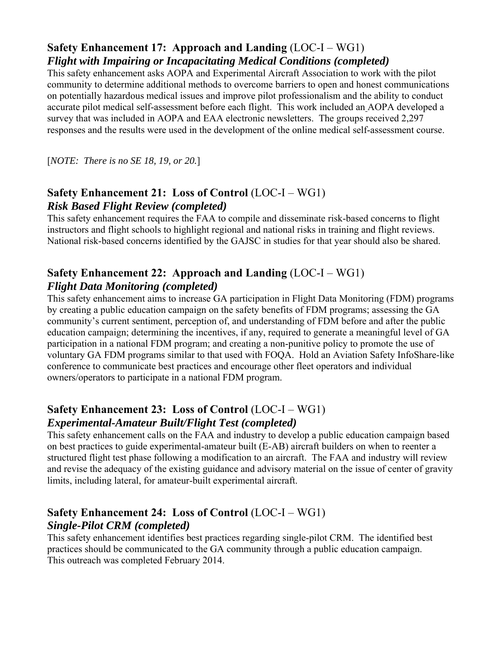### **Safety Enhancement 17: Approach and Landing** (LOC-I – WG1) *Flight with Impairing or Incapacitating Medical Conditions (completed)*

This safety enhancement asks AOPA and Experimental Aircraft Association to work with the pilot community to determine additional methods to overcome barriers to open and honest communications on potentially hazardous medical issues and improve pilot professionalism and the ability to conduct accurate pilot medical self-assessment before each flight. This work included an AOPA developed a survey that was included in AOPA and EAA electronic newsletters. The groups received 2,297 responses and the results were used in the development of the online medical self-assessment course.

[*NOTE: There is no SE 18, 19, or 20.*]

### **Safety Enhancement 21: Loss of Control** (LOC-I – WG1) *Risk Based Flight Review (completed)*

This safety enhancement requires the FAA to compile and disseminate risk-based concerns to flight instructors and flight schools to highlight regional and national risks in training and flight reviews. National risk-based concerns identified by the GAJSC in studies for that year should also be shared.

# **Safety Enhancement 22: Approach and Landing** (LOC-I – WG1) *Flight Data Monitoring (completed)*

This safety enhancement aims to increase GA participation in Flight Data Monitoring (FDM) programs by creating a public education campaign on the safety benefits of FDM programs; assessing the GA community's current sentiment, perception of, and understanding of FDM before and after the public education campaign; determining the incentives, if any, required to generate a meaningful level of GA participation in a national FDM program; and creating a non-punitive policy to promote the use of voluntary GA FDM programs similar to that used with FOQA. Hold an Aviation Safety InfoShare-like conference to communicate best practices and encourage other fleet operators and individual owners/operators to participate in a national FDM program.

### **Safety Enhancement 23: Loss of Control** (LOC-I – WG1) *Experimental-Amateur Built/Flight Test (completed)*

This safety enhancement calls on the FAA and industry to develop a public education campaign based on best practices to guide experimental-amateur built (E-AB) aircraft builders on when to reenter a structured flight test phase following a modification to an aircraft. The FAA and industry will review and revise the adequacy of the existing guidance and advisory material on the issue of center of gravity limits, including lateral, for amateur-built experimental aircraft.

### Safety Enhancement 24: Loss of Control (LOC-I – WG1) *Single-Pilot CRM (completed)*

This safety enhancement identifies best practices regarding single-pilot CRM. The identified best practices should be communicated to the GA community through a public education campaign. This outreach was completed February 2014.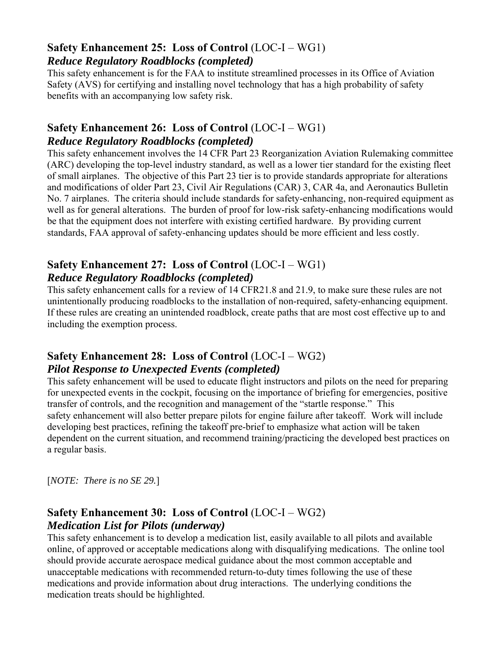#### **Safety Enhancement 25: Loss of Control** (LOC-I – WG1) *Reduce Regulatory Roadblocks (completed)*

This safety enhancement is for the FAA to institute streamlined processes in its Office of Aviation Safety (AVS) for certifying and installing novel technology that has a high probability of safety benefits with an accompanying low safety risk.

#### **Safety Enhancement 26: Loss of Control** (LOC-I – WG1) *Reduce Regulatory Roadblocks (completed)*

This safety enhancement involves the 14 CFR Part 23 Reorganization Aviation Rulemaking committee (ARC) developing the top-level industry standard, as well as a lower tier standard for the existing fleet of small airplanes. The objective of this Part 23 tier is to provide standards appropriate for alterations and modifications of older Part 23, Civil Air Regulations (CAR) 3, CAR 4a, and Aeronautics Bulletin No. 7 airplanes. The criteria should include standards for safety-enhancing, non-required equipment as well as for general alterations. The burden of proof for low-risk safety-enhancing modifications would be that the equipment does not interfere with existing certified hardware. By providing current standards, FAA approval of safety-enhancing updates should be more efficient and less costly.

### **Safety Enhancement 27: Loss of Control** (LOC-I – WG1) *Reduce Regulatory Roadblocks (completed)*

This safety enhancement calls for a review of 14 CFR21.8 and 21.9, to make sure these rules are not unintentionally producing roadblocks to the installation of non-required, safety-enhancing equipment. If these rules are creating an unintended roadblock, create paths that are most cost effective up to and including the exemption process.

### **Safety Enhancement 28: Loss of Control** (LOC-I – WG2) *Pilot Response to Unexpected Events (completed)*

This safety enhancement will be used to educate flight instructors and pilots on the need for preparing for unexpected events in the cockpit, focusing on the importance of briefing for emergencies, positive transfer of controls, and the recognition and management of the "startle response." This safety enhancement will also better prepare pilots for engine failure after takeoff. Work will include developing best practices, refining the takeoff pre-brief to emphasize what action will be taken dependent on the current situation, and recommend training/practicing the developed best practices on a regular basis.

[*NOTE: There is no SE 29.*]

### **Safety Enhancement 30: Loss of Control** (LOC-I – WG2) *Medication List for Pilots (underway)*

This safety enhancement is to develop a medication list, easily available to all pilots and available online, of approved or acceptable medications along with disqualifying medications. The online tool should provide accurate aerospace medical guidance about the most common acceptable and unacceptable medications with recommended return-to-duty times following the use of these medications and provide information about drug interactions. The underlying conditions the medication treats should be highlighted.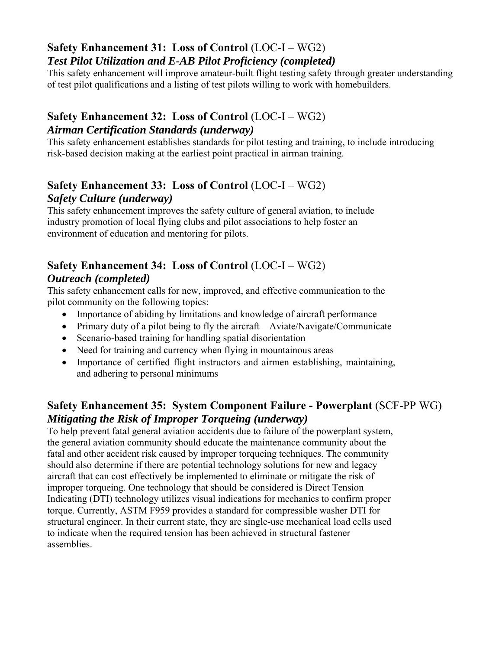#### **Safety Enhancement 31: Loss of Control** (LOC-I – WG2) *Test Pilot Utilization and E-AB Pilot Proficiency (completed)*

This safety enhancement will improve amateur-built flight testing safety through greater understanding of test pilot qualifications and a listing of test pilots willing to work with homebuilders.

### **Safety Enhancement 32: Loss of Control** (LOC-I – WG2) *Airman Certification Standards (underway)*

This safety enhancement establishes standards for pilot testing and training, to include introducing risk-based decision making at the earliest point practical in airman training.

#### **Safety Enhancement 33: Loss of Control** (LOC-I – WG2) *Safety Culture (underway)*

This safety enhancement improves the safety culture of general aviation, to include industry promotion of local flying clubs and pilot associations to help foster an environment of education and mentoring for pilots.

### **Safety Enhancement 34: Loss of Control** (LOC-I – WG2) *Outreach (completed)*

This safety enhancement calls for new, improved, and effective communication to the pilot community on the following topics:

- Importance of abiding by limitations and knowledge of aircraft performance
- Primary duty of a pilot being to fly the aircraft Aviate/Navigate/Communicate
- Scenario-based training for handling spatial disorientation
- Need for training and currency when flying in mountainous areas
- Importance of certified flight instructors and airmen establishing, maintaining, and adhering to personal minimums

# **Safety Enhancement 35: System Component Failure - Powerplant** (SCF-PP WG) *Mitigating the Risk of Improper Torqueing (underway)*

To help prevent fatal general aviation accidents due to failure of the powerplant system, the general aviation community should educate the maintenance community about the fatal and other accident risk caused by improper torqueing techniques. The community should also determine if there are potential technology solutions for new and legacy aircraft that can cost effectively be implemented to eliminate or mitigate the risk of improper torqueing. One technology that should be considered is Direct Tension Indicating (DTI) technology utilizes visual indications for mechanics to confirm proper torque. Currently, ASTM F959 provides a standard for compressible washer DTI for structural engineer. In their current state, they are single-use mechanical load cells used to indicate when the required tension has been achieved in structural fastener assemblies.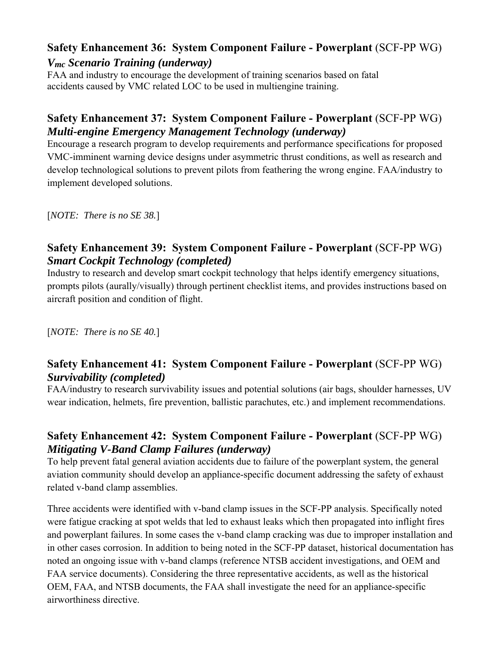### **Safety Enhancement 36: System Component Failure - Powerplant** (SCF-PP WG) *Vmc Scenario Training (underway)*

FAA and industry to encourage the development of training scenarios based on fatal accidents caused by VMC related LOC to be used in multiengine training.

# **Safety Enhancement 37: System Component Failure - Powerplant** (SCF-PP WG) *Multi-engine Emergency Management Technology (underway)*

Encourage a research program to develop requirements and performance specifications for proposed VMC-imminent warning device designs under asymmetric thrust conditions, as well as research and develop technological solutions to prevent pilots from feathering the wrong engine. FAA/industry to implement developed solutions.

[*NOTE: There is no SE 38.*]

### **Safety Enhancement 39: System Component Failure - Powerplant** (SCF-PP WG) *Smart Cockpit Technology (completed)*

Industry to research and develop smart cockpit technology that helps identify emergency situations, prompts pilots (aurally/visually) through pertinent checklist items, and provides instructions based on aircraft position and condition of flight.

[*NOTE: There is no SE 40.*]

### **Safety Enhancement 41: System Component Failure - Powerplant** (SCF-PP WG) *Survivability (completed)*

FAA/industry to research survivability issues and potential solutions (air bags, shoulder harnesses, UV wear indication, helmets, fire prevention, ballistic parachutes, etc.) and implement recommendations.

### **Safety Enhancement 42: System Component Failure - Powerplant** (SCF-PP WG) *Mitigating V-Band Clamp Failures (underway)*

To help prevent fatal general aviation accidents due to failure of the powerplant system, the general aviation community should develop an appliance-specific document addressing the safety of exhaust related v-band clamp assemblies.

Three accidents were identified with v-band clamp issues in the SCF-PP analysis. Specifically noted were fatigue cracking at spot welds that led to exhaust leaks which then propagated into inflight fires and powerplant failures. In some cases the v-band clamp cracking was due to improper installation and in other cases corrosion. In addition to being noted in the SCF-PP dataset, historical documentation has noted an ongoing issue with v-band clamps (reference NTSB accident investigations, and OEM and FAA service documents). Considering the three representative accidents, as well as the historical OEM, FAA, and NTSB documents, the FAA shall investigate the need for an appliance-specific airworthiness directive.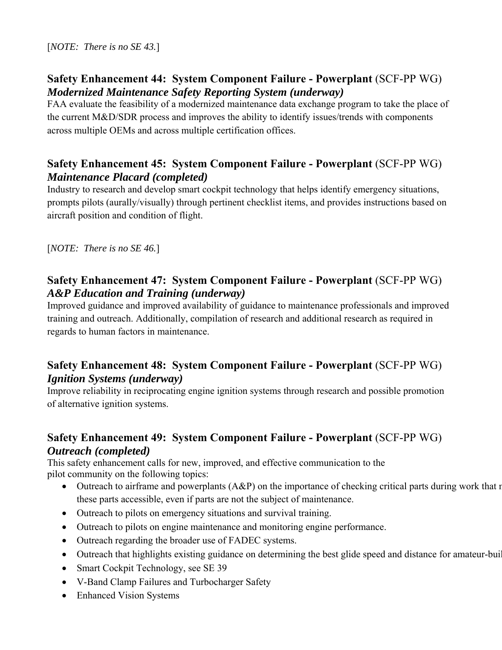#### **Safety Enhancement 44: System Component Failure - Powerplant** (SCF-PP WG) *Modernized Maintenance Safety Reporting System (underway)*

FAA evaluate the feasibility of a modernized maintenance data exchange program to take the place of the current M&D/SDR process and improves the ability to identify issues/trends with components across multiple OEMs and across multiple certification offices.

### **Safety Enhancement 45: System Component Failure - Powerplant** (SCF-PP WG) *Maintenance Placard (completed)*

Industry to research and develop smart cockpit technology that helps identify emergency situations, prompts pilots (aurally/visually) through pertinent checklist items, and provides instructions based on aircraft position and condition of flight.

[*NOTE: There is no SE 46.*]

### **Safety Enhancement 47: System Component Failure - Powerplant** (SCF-PP WG) *A&P Education and Training (underway)*

Improved guidance and improved availability of guidance to maintenance professionals and improved training and outreach. Additionally, compilation of research and additional research as required in regards to human factors in maintenance.

### **Safety Enhancement 48: System Component Failure - Powerplant** (SCF-PP WG) *Ignition Systems (underway)*

Improve reliability in reciprocating engine ignition systems through research and possible promotion of alternative ignition systems.

### **Safety Enhancement 49: System Component Failure - Powerplant** (SCF-PP WG) *Outreach (completed)*

This safety enhancement calls for new, improved, and effective communication to the pilot community on the following topics:

- Outreach to airframe and powerplants  $(A\&P)$  on the importance of checking critical parts during work that m these parts accessible, even if parts are not the subject of maintenance.
- Outreach to pilots on emergency situations and survival training.
- Outreach to pilots on engine maintenance and monitoring engine performance.
- Outreach regarding the broader use of FADEC systems.
- Outreach that highlights existing guidance on determining the best glide speed and distance for amateur-buil
- Smart Cockpit Technology, see SE 39
- V-Band Clamp Failures and Turbocharger Safety
- Enhanced Vision Systems